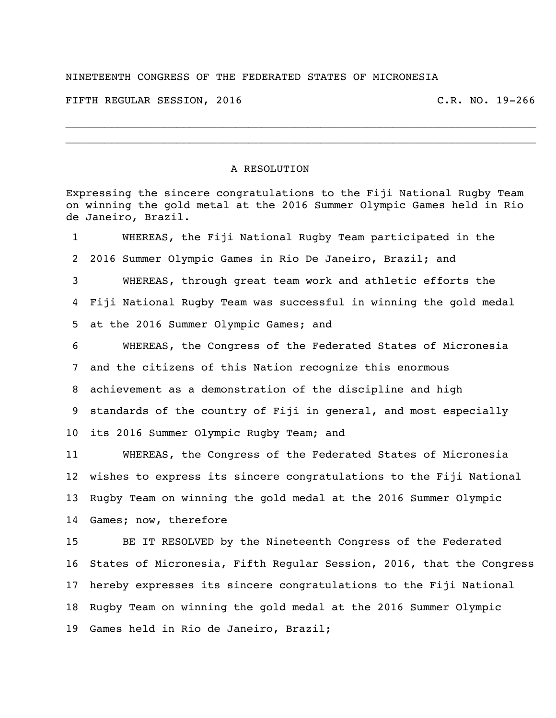## NINETEENTH CONGRESS OF THE FEDERATED STATES OF MICRONESIA

FIFTH REGULAR SESSION, 2016 C.R. NO. 19-266

## A RESOLUTION

Expressing the sincere congratulations to the Fiji National Rugby Team on winning the gold metal at the 2016 Summer Olympic Games held in Rio de Janeiro, Brazil.

 $\_$  $\_$ 

 WHEREAS, the Fiji National Rugby Team participated in the 2016 Summer Olympic Games in Rio De Janeiro, Brazil; and WHEREAS, through great team work and athletic efforts the Fiji National Rugby Team was successful in winning the gold medal at the 2016 Summer Olympic Games; and WHEREAS, the Congress of the Federated States of Micronesia and the citizens of this Nation recognize this enormous achievement as a demonstration of the discipline and high standards of the country of Fiji in general, and most especially its 2016 Summer Olympic Rugby Team; and WHEREAS, the Congress of the Federated States of Micronesia wishes to express its sincere congratulations to the Fiji National Rugby Team on winning the gold medal at the 2016 Summer Olympic Games; now, therefore

 BE IT RESOLVED by the Nineteenth Congress of the Federated States of Micronesia, Fifth Regular Session, 2016, that the Congress hereby expresses its sincere congratulations to the Fiji National Rugby Team on winning the gold medal at the 2016 Summer Olympic Games held in Rio de Janeiro, Brazil;